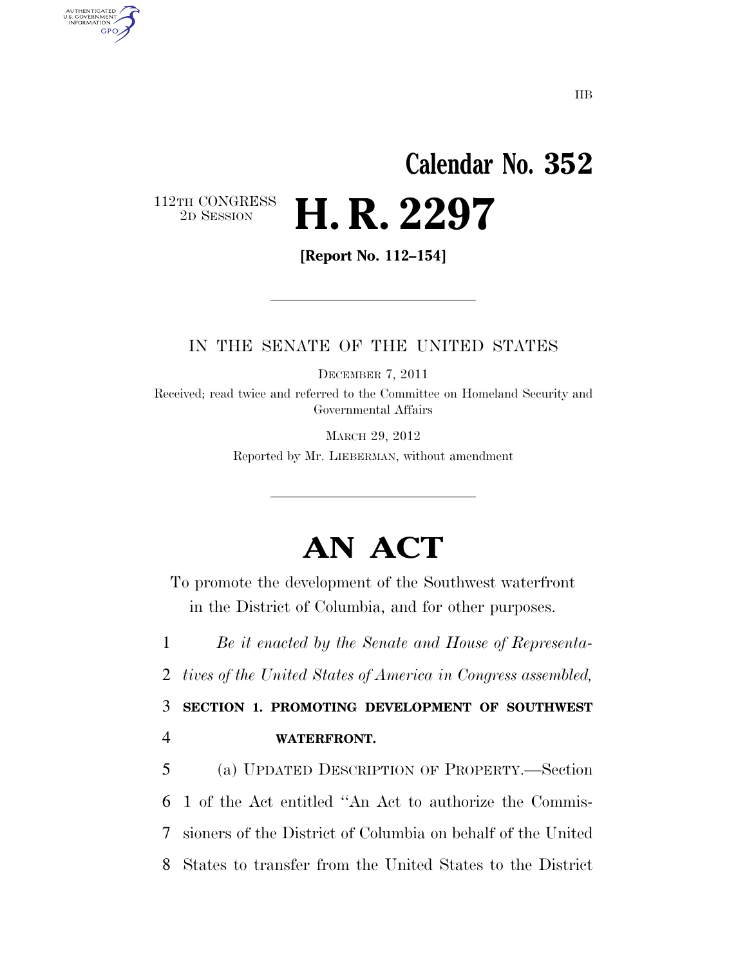# **Calendar No. 352**  2D SESSION **H. R. 2297**

112TH CONGRESS<br>2D SESSION

AUTHENTICATED U.S. GOVERNMENT GPO

**[Report No. 112–154]** 

#### IN THE SENATE OF THE UNITED STATES

DECEMBER 7, 2011

Received; read twice and referred to the Committee on Homeland Security and Governmental Affairs

> MARCH 29, 2012 Reported by Mr. LIEBERMAN, without amendment

## **AN ACT**

To promote the development of the Southwest waterfront in the District of Columbia, and for other purposes.

1 *Be it enacted by the Senate and House of Representa-*

2 *tives of the United States of America in Congress assembled,* 

3 **SECTION 1. PROMOTING DEVELOPMENT OF SOUTHWEST**  4 **WATERFRONT.** 

 (a) UPDATED DESCRIPTION OF PROPERTY.—Section 1 of the Act entitled ''An Act to authorize the Commis- sioners of the District of Columbia on behalf of the United States to transfer from the United States to the District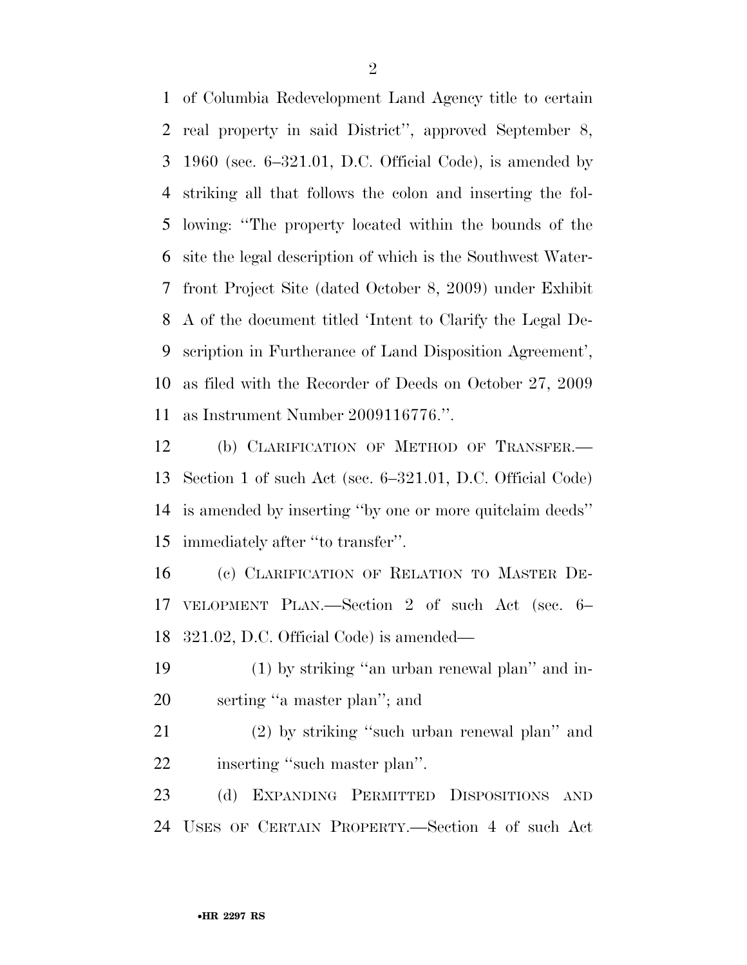of Columbia Redevelopment Land Agency title to certain real property in said District'', approved September 8, 1960 (sec. 6–321.01, D.C. Official Code), is amended by striking all that follows the colon and inserting the fol- lowing: ''The property located within the bounds of the site the legal description of which is the Southwest Water- front Project Site (dated October 8, 2009) under Exhibit A of the document titled 'Intent to Clarify the Legal De- scription in Furtherance of Land Disposition Agreement', as filed with the Recorder of Deeds on October 27, 2009 as Instrument Number 2009116776.''.

 (b) CLARIFICATION OF METHOD OF TRANSFER.— Section 1 of such Act (sec. 6–321.01, D.C. Official Code) is amended by inserting ''by one or more quitclaim deeds'' immediately after ''to transfer''.

 (c) CLARIFICATION OF RELATION TO MASTER DE- VELOPMENT PLAN.—Section 2 of such Act (sec. 6– 321.02, D.C. Official Code) is amended—

 (1) by striking ''an urban renewal plan'' and in-serting ''a master plan''; and

 (2) by striking ''such urban renewal plan'' and 22 inserting "such master plan".

 (d) EXPANDING PERMITTED DISPOSITIONS AND USES OF CERTAIN PROPERTY.—Section 4 of such Act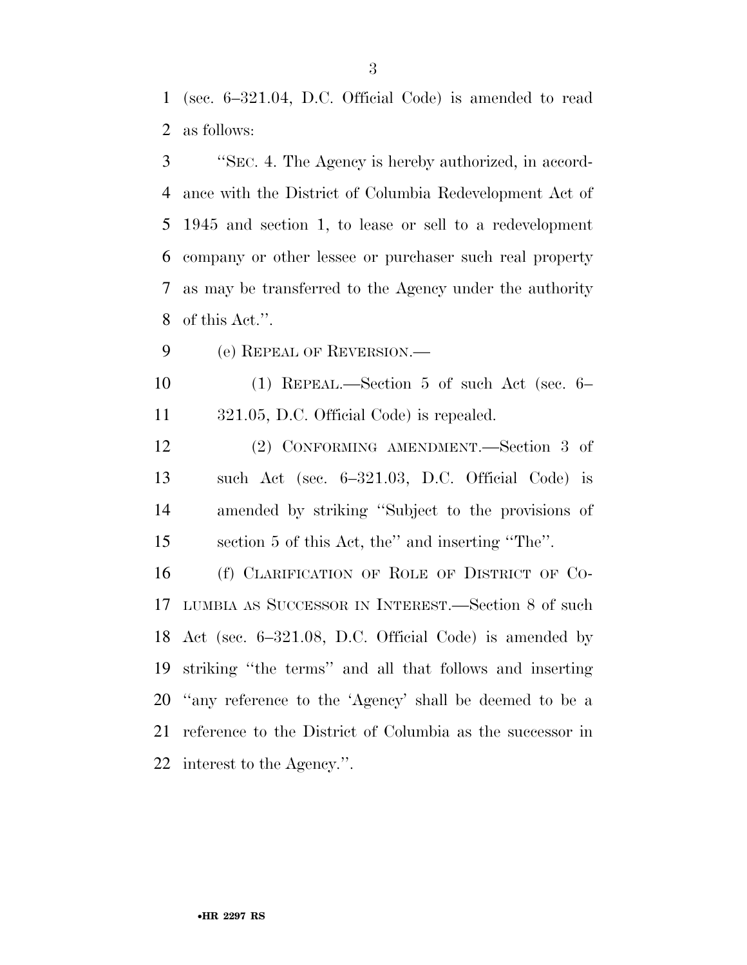(sec. 6–321.04, D.C. Official Code) is amended to read as follows:

 ''SEC. 4. The Agency is hereby authorized, in accord- ance with the District of Columbia Redevelopment Act of 1945 and section 1, to lease or sell to a redevelopment company or other lessee or purchaser such real property as may be transferred to the Agency under the authority of this Act.''.

(e) REPEAL OF REVERSION.—

 (1) REPEAL.—Section 5 of such Act (sec. 6– 321.05, D.C. Official Code) is repealed.

 (2) CONFORMING AMENDMENT.—Section 3 of such Act (sec. 6–321.03, D.C. Official Code) is amended by striking ''Subject to the provisions of section 5 of this Act, the'' and inserting ''The''.

 (f) CLARIFICATION OF ROLE OF DISTRICT OF CO- LUMBIA AS SUCCESSOR IN INTEREST.—Section 8 of such Act (sec. 6–321.08, D.C. Official Code) is amended by striking ''the terms'' and all that follows and inserting ''any reference to the 'Agency' shall be deemed to be a reference to the District of Columbia as the successor in interest to the Agency.''.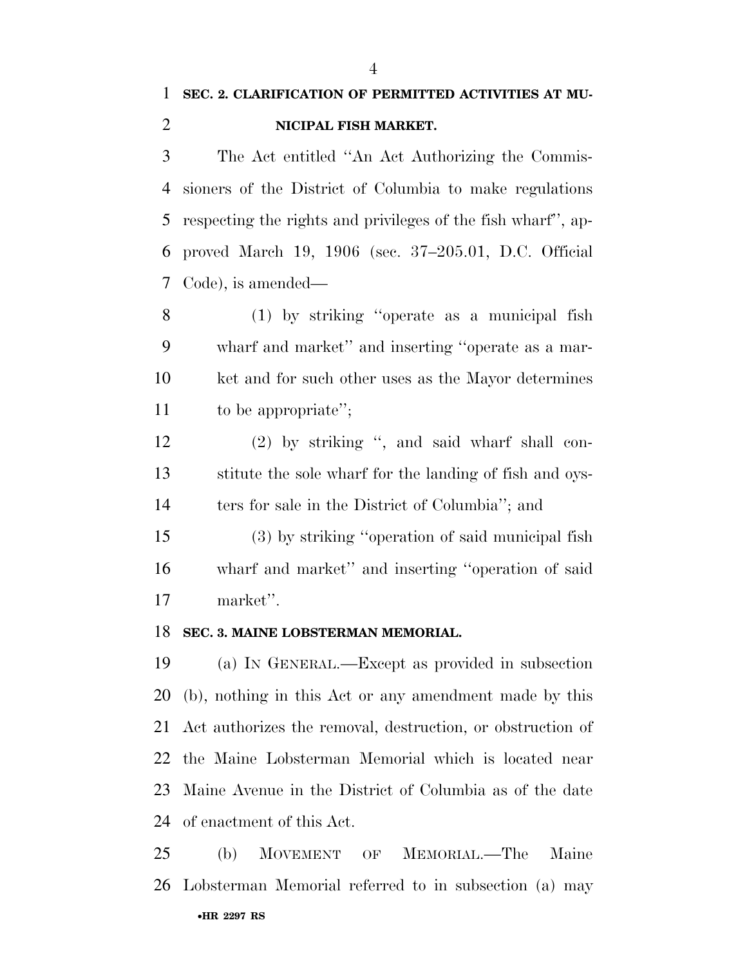### **SEC. 2. CLARIFICATION OF PERMITTED ACTIVITIES AT MU-NICIPAL FISH MARKET.**

 The Act entitled ''An Act Authorizing the Commis- sioners of the District of Columbia to make regulations respecting the rights and privileges of the fish wharf'', ap- proved March 19, 1906 (sec. 37–205.01, D.C. Official Code), is amended—

 (1) by striking ''operate as a municipal fish wharf and market'' and inserting ''operate as a mar- ket and for such other uses as the Mayor determines to be appropriate'';

 (2) by striking '', and said wharf shall con- stitute the sole wharf for the landing of fish and oys-14 ters for sale in the District of Columbia''; and

 (3) by striking ''operation of said municipal fish wharf and market'' and inserting ''operation of said market''.

#### **SEC. 3. MAINE LOBSTERMAN MEMORIAL.**

 (a) IN GENERAL.—Except as provided in subsection (b), nothing in this Act or any amendment made by this Act authorizes the removal, destruction, or obstruction of the Maine Lobsterman Memorial which is located near Maine Avenue in the District of Columbia as of the date of enactment of this Act.

•**HR 2297 RS** (b) MOVEMENT OF MEMORIAL.—The Maine Lobsterman Memorial referred to in subsection (a) may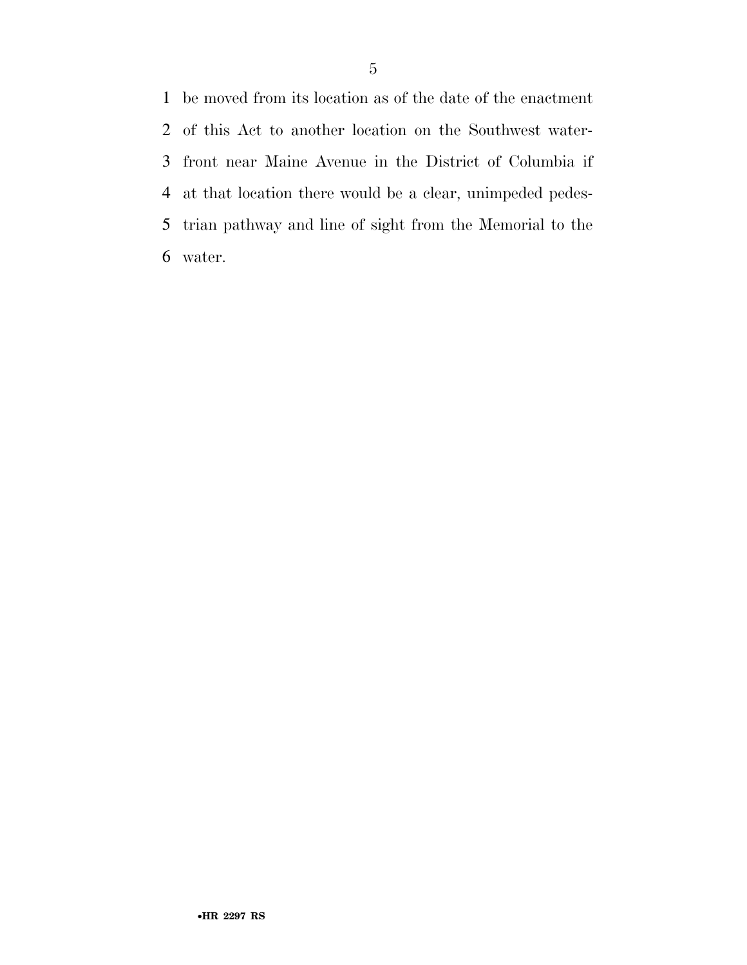be moved from its location as of the date of the enactment of this Act to another location on the Southwest water- front near Maine Avenue in the District of Columbia if at that location there would be a clear, unimpeded pedes- trian pathway and line of sight from the Memorial to the water.